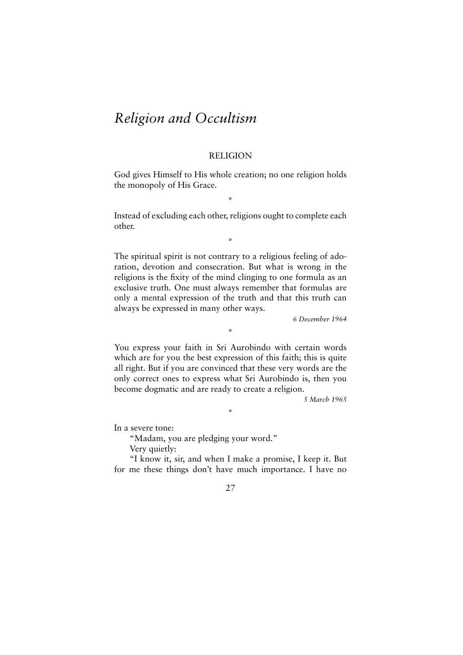# *Religion and Occultism*

## RELIGION

God gives Himself to His whole creation; no one religion holds the monopoly of His Grace.

\*

Instead of excluding each other, religions ought to complete each other.

\*

The spiritual spirit is not contrary to a religious feeling of adoration, devotion and consecration. But what is wrong in the religions is the fixity of the mind clinging to one formula as an exclusive truth. One must always remember that formulas are only a mental expression of the truth and that this truth can always be expressed in many other ways.

*6 December 1964*

You express your faith in Sri Aurobindo with certain words which are for you the best expression of this faith; this is quite all right. But if you are convinced that these very words are the only correct ones to express what Sri Aurobindo is, then you become dogmatic and are ready to create a religion.

\*

\*

*5 March 1965*

In a severe tone:

"Madam, you are pledging your word."

Very quietly:

"I know it, sir, and when I make a promise, I keep it. But for me these things don't have much importance. I have no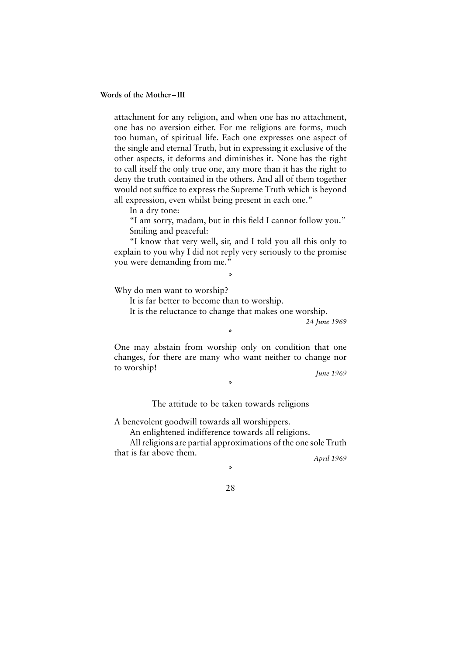attachment for any religion, and when one has no attachment, one has no aversion either. For me religions are forms, much too human, of spiritual life. Each one expresses one aspect of the single and eternal Truth, but in expressing it exclusive of the other aspects, it deforms and diminishes it. None has the right to call itself the only true one, any more than it has the right to deny the truth contained in the others. And all of them together would not suffice to express the Supreme Truth which is beyond all expression, even whilst being present in each one."

In a dry tone:

"I am sorry, madam, but in this field I cannot follow you." Smiling and peaceful:

"I know that very well, sir, and I told you all this only to explain to you why I did not reply very seriously to the promise you were demanding from me."

\*

Why do men want to worship?

It is far better to become than to worship.

It is the reluctance to change that makes one worship.

*24 June 1969*

\*

One may abstain from worship only on condition that one changes, for there are many who want neither to change nor to worship! *June 1969*

The attitude to be taken towards religions

\*

A benevolent goodwill towards all worshippers.

An enlightened indifference towards all religions.

All religions are partial approximations of the one sole Truth that is far above them. *April 1969*

\*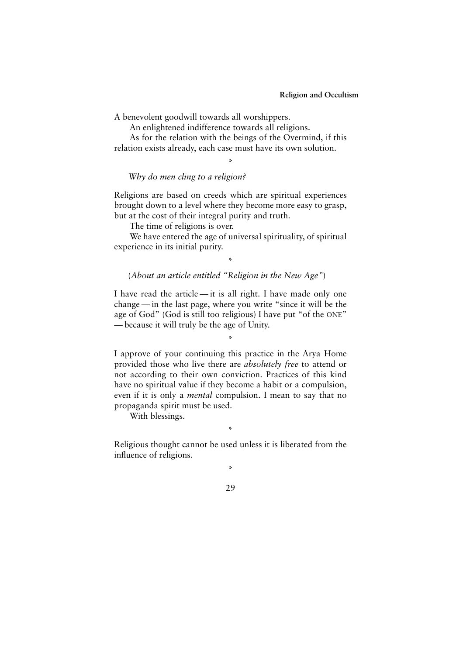A benevolent goodwill towards all worshippers.

An enlightened indifference towards all religions.

As for the relation with the beings of the Overmind, if this relation exists already, each case must have its own solution.

\*

*Why do men cling to a religion?*

Religions are based on creeds which are spiritual experiences brought down to a level where they become more easy to grasp, but at the cost of their integral purity and truth.

The time of religions is over.

We have entered the age of universal spirituality, of spiritual experience in its initial purity.

\*

## (*About an article entitled "Religion in the New Age"*)

I have read the article — it is all right. I have made only one change — in the last page, where you write "since it will be the age of God" (God is still too religious) I have put "of the ONE" — because it will truly be the age of Unity.

\*

I approve of your continuing this practice in the Arya Home provided those who live there are *absolutely free* to attend or not according to their own conviction. Practices of this kind have no spiritual value if they become a habit or a compulsion, even if it is only a *mental* compulsion. I mean to say that no propaganda spirit must be used.

With blessings.

\*

Religious thought cannot be used unless it is liberated from the influence of religions.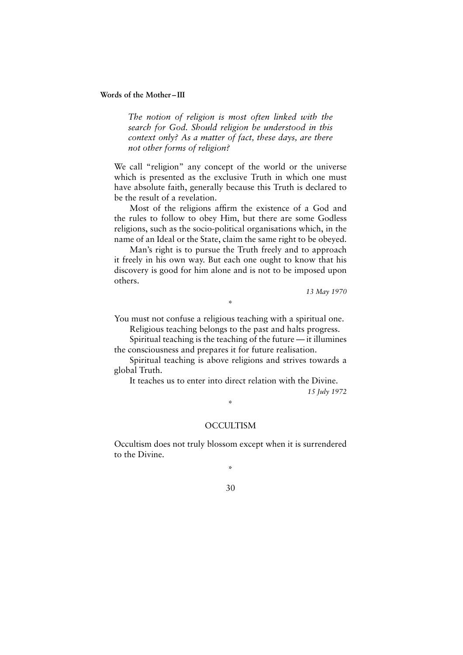*The notion of religion is most often linked with the search for God. Should religion be understood in this context only? As a matter of fact, these days, are there not other forms of religion?*

We call "religion" any concept of the world or the universe which is presented as the exclusive Truth in which one must have absolute faith, generally because this Truth is declared to be the result of a revelation.

Most of the religions affirm the existence of a God and the rules to follow to obey Him, but there are some Godless religions, such as the socio-political organisations which, in the name of an Ideal or the State, claim the same right to be obeyed.

Man's right is to pursue the Truth freely and to approach it freely in his own way. But each one ought to know that his discovery is good for him alone and is not to be imposed upon others.

*13 May 1970*

You must not confuse a religious teaching with a spiritual one.

\*

Religious teaching belongs to the past and halts progress.

Spiritual teaching is the teaching of the future — it illumines the consciousness and prepares it for future realisation.

Spiritual teaching is above religions and strives towards a global Truth.

It teaches us to enter into direct relation with the Divine.

*15 July 1972*

## **OCCULTISM**

\*

Occultism does not truly blossom except when it is surrendered to the Divine.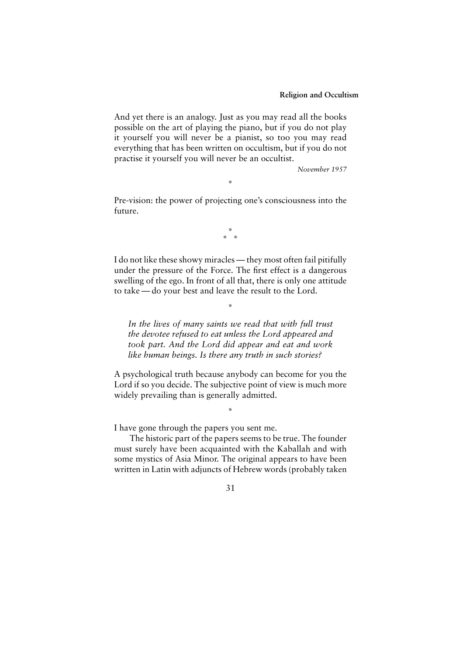And yet there is an analogy. Just as you may read all the books possible on the art of playing the piano, but if you do not play it yourself you will never be a pianist, so too you may read everything that has been written on occultism, but if you do not practise it yourself you will never be an occultist.

*November 1957*

Pre-vision: the power of projecting one's consciousness into the future.

\*

\* \* \*

I do not like these showy miracles — they most often fail pitifully under the pressure of the Force. The first effect is a dangerous swelling of the ego. In front of all that, there is only one attitude to take — do your best and leave the result to the Lord.

*In the lives of many saints we read that with full trust the devotee refused to eat unless the Lord appeared and took part. And the Lord did appear and eat and work like human beings. Is there any truth in such stories?*

\*

A psychological truth because anybody can become for you the Lord if so you decide. The subjective point of view is much more widely prevailing than is generally admitted.

\*

I have gone through the papers you sent me.

The historic part of the papers seems to be true. The founder must surely have been acquainted with the Kaballah and with some mystics of Asia Minor. The original appears to have been written in Latin with adjuncts of Hebrew words (probably taken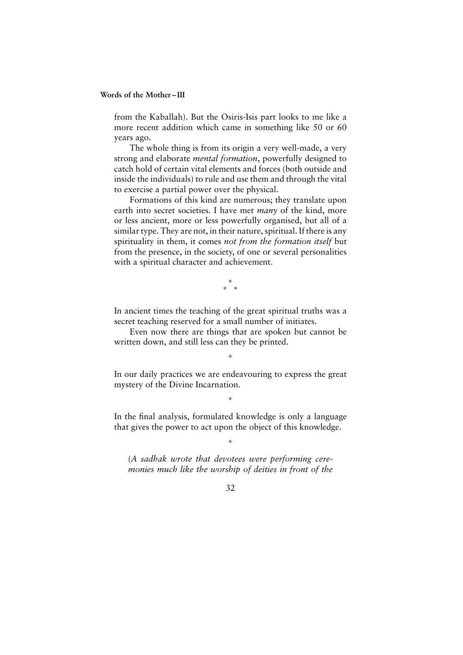from the Kaballah). But the Osiris-Isis part looks to me like a more recent addition which came in something like 50 or 60 years ago.

The whole thing is from its origin a very well-made, a very strong and elaborate *mental formation*, powerfully designed to catch hold of certain vital elements and forces (both outside and inside the individuals) to rule and use them and through the vital to exercise a partial power over the physical.

Formations of this kind are numerous; they translate upon earth into secret societies. I have met *many* of the kind, more or less ancient, more or less powerfully organised, but all of a similar type. They are not, in their nature, spiritual. If there is any spirituality in them, it comes *not from the formation itself* but from the presence, in the society, of one or several personalities with a spiritual character and achievement.

> \* \* \*

In ancient times the teaching of the great spiritual truths was a secret teaching reserved for a small number of initiates.

Even now there are things that are spoken but cannot be written down, and still less can they be printed.

\*

In our daily practices we are endeavouring to express the great mystery of the Divine Incarnation.

\*

In the final analysis, formulated knowledge is only a language that gives the power to act upon the object of this knowledge.

\*

(*A sadhak wrote that devotees were performing ceremonies much like the worship of deities in front of the*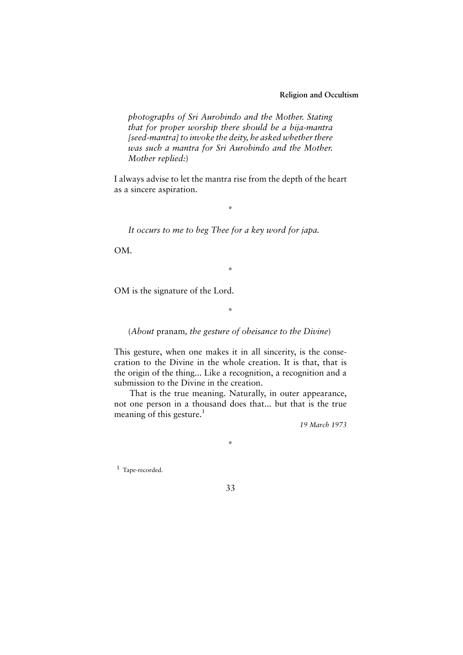**Religion and Occultism**

*photographs of Sri Aurobindo and the Mother. Stating that for proper worship there should be a bija-mantra [seed-mantra] to invoke the deity, he asked whether there was such a mantra for Sri Aurobindo and the Mother. Mother replied:*)

I always advise to let the mantra rise from the depth of the heart as a sincere aspiration.

\*

*It occurs to me to beg Thee for a key word for japa.*

OM.

OM is the signature of the Lord.

\*

\*

(*About* pranam*, the gesture of obeisance to the Divine*)

This gesture, when one makes it in all sincerity, is the consecration to the Divine in the whole creation. It is that, that is the origin of the thing... Like a recognition, a recognition and a submission to the Divine in the creation.

That is the true meaning. Naturally, in outer appearance, not one person in a thousand does that... but that is the true meaning of this gesture. $<sup>1</sup>$ </sup>

\*

*19 March 1973*

<sup>1</sup> Tape-recorded.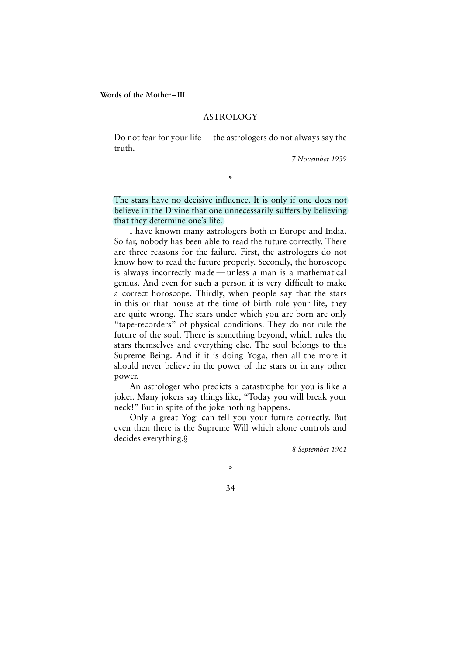## ASTROLOGY

Do not fear for your life — the astrologers do not always say the truth.

\*

*7 November 1939*

The stars have no decisive influence. It is only if one does not believe in the Divine that one unnecessarily suffers by believing that they determine one's life.

I have known many astrologers both in Europe and India. So far, nobody has been able to read the future correctly. There are three reasons for the failure. First, the astrologers do not know how to read the future properly. Secondly, the horoscope is always incorrectly made — unless a man is a mathematical genius. And even for such a person it is very difficult to make a correct horoscope. Thirdly, when people say that the stars in this or that house at the time of birth rule your life, they are quite wrong. The stars under which you are born are only "tape-recorders" of physical conditions. They do not rule the future of the soul. There is something beyond, which rules the stars themselves and everything else. The soul belongs to this Supreme Being. And if it is doing Yoga, then all the more it should never believe in the power of the stars or in any other power.

An astrologer who predicts a catastrophe for you is like a joker. Many jokers say things like, "Today you will break your neck!" But in spite of the joke nothing happens.

Only a great Yogi can tell you your future correctly. But even then there is the Supreme Will which alone controls and decides everything.§

*8 September 1961*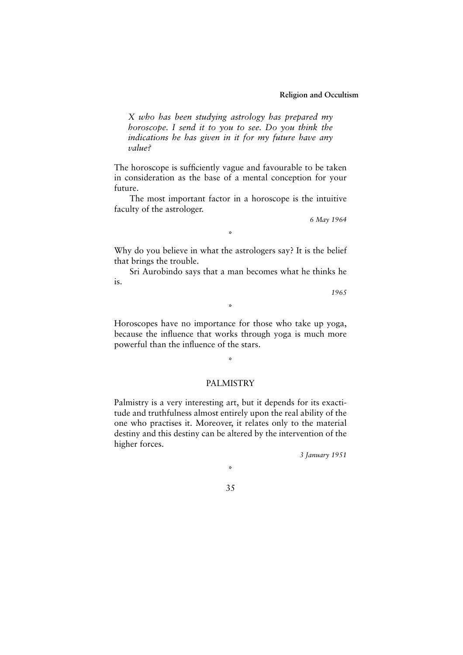*X who has been studying astrology has prepared my horoscope. I send it to you to see. Do you think the indications he has given in it for my future have any value?*

The horoscope is sufficiently vague and favourable to be taken in consideration as the base of a mental conception for your future.

The most important factor in a horoscope is the intuitive faculty of the astrologer.

*6 May 1964*

\*

Why do you believe in what the astrologers say? It is the belief that brings the trouble.

Sri Aurobindo says that a man becomes what he thinks he is.

\*

*1965*

Horoscopes have no importance for those who take up yoga, because the influence that works through yoga is much more powerful than the influence of the stars.

# PALMISTRY

 $\mathbf{v}_i$ 

Palmistry is a very interesting art, but it depends for its exactitude and truthfulness almost entirely upon the real ability of the one who practises it. Moreover, it relates only to the material destiny and this destiny can be altered by the intervention of the higher forces.

*3 January 1951*

\*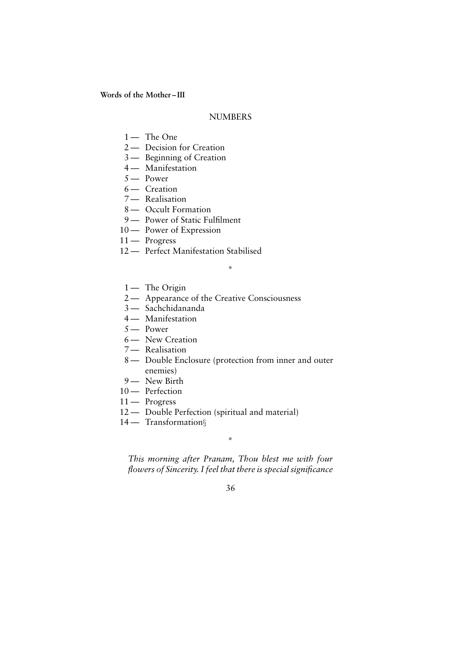## **NUMBERS**

- $1 -$ The One
- 2 Decision for Creation
- 3 Beginning of Creation
- 4 Manifestation
- 5 Power
- 6 Creation
- 7 Realisation
- 8 Occult Formation
- 9 Power of Static Fulfilment
- 10 Power of Expression
- 11 Progress
- 12 Perfect Manifestation Stabilised
	- 1 The Origin
- 2 Appearance of the Creative Consciousness
- 3 Sachchidananda
- 4 Manifestation
- 5 Power
- 6 New Creation
- 7 Realisation
- 8 Double Enclosure (protection from inner and outer enemies)

\*

- 9 New Birth
- 10 Perfection
- 11 Progress
- 12 Double Perfection (spiritual and material)
- 14 Transformation§

\*

*This morning after Pranam, Thou blest me with four flowers of Sincerity. I feel that there is special significance*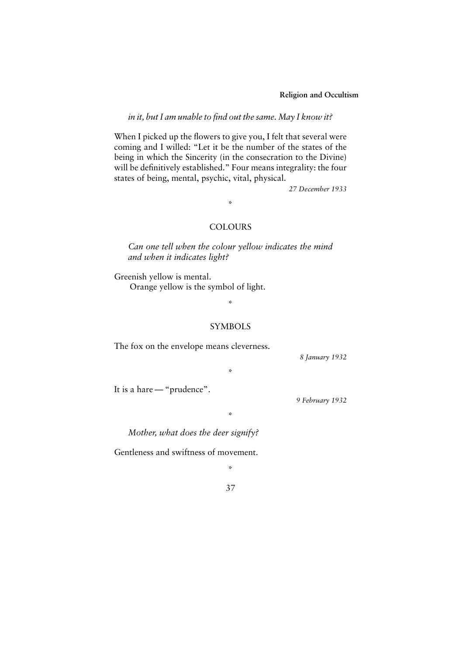**Religion and Occultism**

*in it, but I am unable to find out the same. May I know it?*

When I picked up the flowers to give you, I felt that several were coming and I willed: "Let it be the number of the states of the being in which the Sincerity (in the consecration to the Divine) will be definitively established." Four means integrality: the four states of being, mental, psychic, vital, physical.

*27 December 1933*

**COLOURS** 

\*

*Can one tell when the colour yellow indicates the mind and when it indicates light?*

Greenish yellow is mental. Orange yellow is the symbol of light.

\*

#### SYMBOLS

\*

\*

The fox on the envelope means cleverness.

*8 January 1932*

It is a hare — "prudence".

*9 February 1932*

*Mother, what does the deer signify?*

Gentleness and swiftness of movement.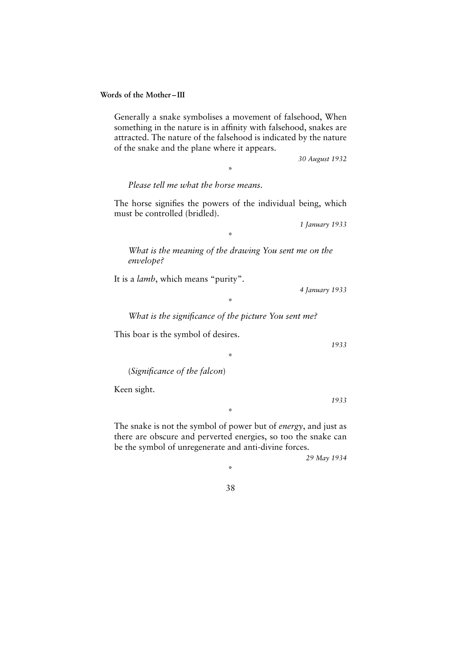\*

**Words of the Mother – III**

Generally a snake symbolises a movement of falsehood, When something in the nature is in affinity with falsehood, snakes are attracted. The nature of the falsehood is indicated by the nature of the snake and the plane where it appears.

\*

*30 August 1932*

*Please tell me what the horse means.*

The horse signifies the powers of the individual being, which must be controlled (bridled).

*1 January 1933*

*What is the meaning of the drawing You sent me on the envelope?*

\*

It is a *lamb*, which means "purity".

*4 January 1933*

\*

*What is the significance of the picture You sent me?*

\*

This boar is the symbol of desires.

(*Significance of the falcon*)

Keen sight.

The snake is not the symbol of power but of *energy*, and just as there are obscure and perverted energies, so too the snake can be the symbol of unregenerate and anti-divine forces.

\*

*29 May 1934*

*1933*

*1933*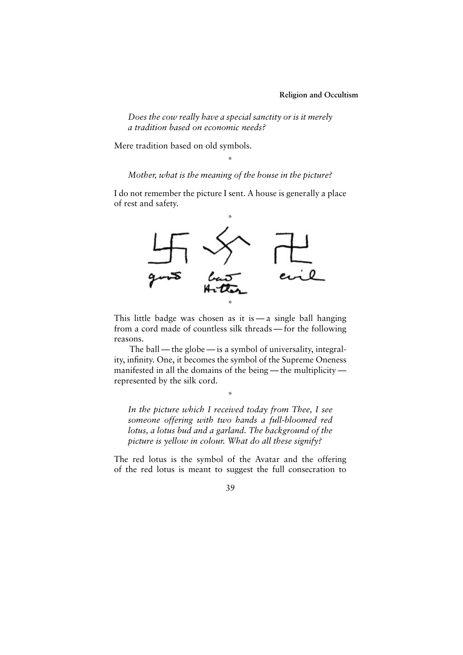*Does the cow really have a special sanctity or is it merely a tradition based on economic needs?*

Mere tradition based on old symbols.

\* *Mother, what is the meaning of the house in the picture?*

I do not remember the picture I sent. A house is generally a place of rest and safety.



This little badge was chosen as it is  $-a$  single ball hanging from a cord made of countless silk threads — for the following reasons.

The ball — the globe — is a symbol of universality, integrality, infinity. One, it becomes the symbol of the Supreme Oneness manifested in all the domains of the being — the multiplicity represented by the silk cord.

\*

*In the picture which I received today from Thee, I see someone offering with two hands a full-bloomed red lotus, a lotus bud and a garland. The background of the picture is yellow in colour. What do all these signify?*

The red lotus is the symbol of the Avatar and the offering of the red lotus is meant to suggest the full consecration to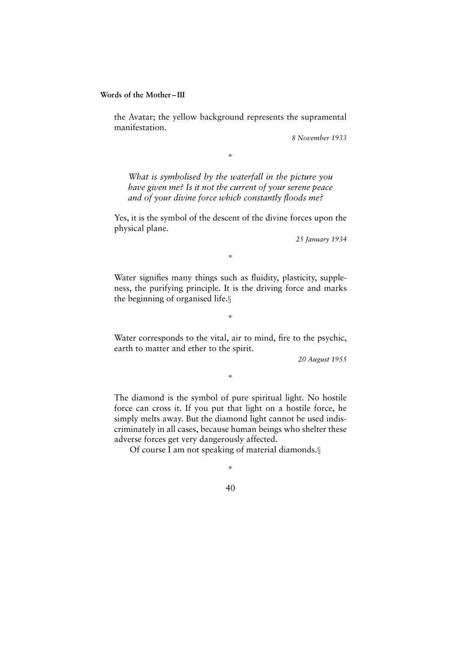the Avatar; the yellow background represents the supramental manifestation.

*8 November 1933*

*What is symbolised by the waterfall in the picture you have given me? Is it not the current of your serene peace and of your divine force which constantly floods me?*

\*

Yes, it is the symbol of the descent of the divine forces upon the physical plane.

*25 January 1934*

#### \*

Water signifies many things such as fluidity, plasticity, suppleness, the purifying principle. It is the driving force and marks the beginning of organised life.§

\*

Water corresponds to the vital, air to mind, fire to the psychic, earth to matter and ether to the spirit.

\*

*20 August 1955*

The diamond is the symbol of pure spiritual light. No hostile force can cross it. If you put that light on a hostile force, he simply melts away. But the diamond light cannot be used indiscriminately in all cases, because human beings who shelter these adverse forces get very dangerously affected.

Of course I am not speaking of material diamonds.§